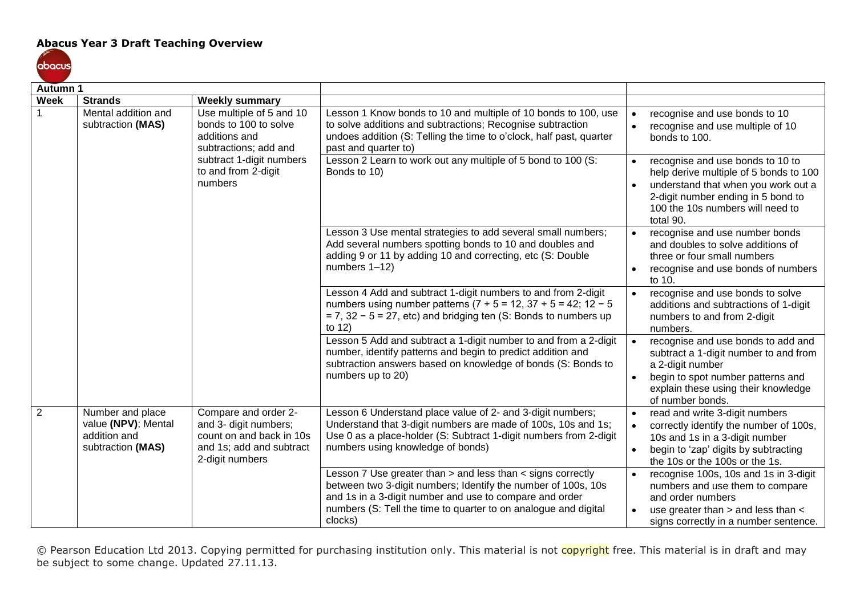## **Abacus Year 3 Draft Teaching Overview**



| <b>Autumn 1</b> |                                                                                    |                                                                                                                          |                                                                                                                                                                                                                                                                       |                                                                                                                                                                                                                                    |
|-----------------|------------------------------------------------------------------------------------|--------------------------------------------------------------------------------------------------------------------------|-----------------------------------------------------------------------------------------------------------------------------------------------------------------------------------------------------------------------------------------------------------------------|------------------------------------------------------------------------------------------------------------------------------------------------------------------------------------------------------------------------------------|
| <b>Week</b>     | <b>Strands</b>                                                                     | <b>Weekly summary</b>                                                                                                    |                                                                                                                                                                                                                                                                       |                                                                                                                                                                                                                                    |
|                 | Mental addition and<br>subtraction (MAS)<br>bonds to 100 to solve<br>additions and | Use multiple of 5 and 10<br>subtractions; add and                                                                        | Lesson 1 Know bonds to 10 and multiple of 10 bonds to 100, use<br>to solve additions and subtractions; Recognise subtraction<br>undoes addition (S: Telling the time to o'clock, half past, quarter<br>past and quarter to)                                           | recognise and use bonds to 10<br>$\bullet$<br>recognise and use multiple of 10<br>$\bullet$<br>bonds to 100.                                                                                                                       |
|                 |                                                                                    | subtract 1-digit numbers<br>to and from 2-digit<br>numbers                                                               | Lesson 2 Learn to work out any multiple of 5 bond to 100 (S:<br>Bonds to 10)                                                                                                                                                                                          | recognise and use bonds to 10 to<br>$\bullet$<br>help derive multiple of 5 bonds to 100<br>understand that when you work out a<br>$\bullet$<br>2-digit number ending in 5 bond to<br>100 the 10s numbers will need to<br>total 90. |
|                 |                                                                                    |                                                                                                                          | Lesson 3 Use mental strategies to add several small numbers;<br>Add several numbers spotting bonds to 10 and doubles and<br>adding 9 or 11 by adding 10 and correcting, etc (S: Double<br>numbers 1-12)                                                               | recognise and use number bonds<br>$\bullet$<br>and doubles to solve additions of<br>three or four small numbers<br>recognise and use bonds of numbers<br>$\bullet$<br>to 10.                                                       |
|                 |                                                                                    |                                                                                                                          | Lesson 4 Add and subtract 1-digit numbers to and from 2-digit<br>numbers using number patterns $(7 + 5 = 12, 37 + 5 = 42, 12 - 5$<br>$= 7, 32 - 5 = 27$ , etc) and bridging ten (S: Bonds to numbers up<br>to 12)                                                     | recognise and use bonds to solve<br>$\bullet$<br>additions and subtractions of 1-digit<br>numbers to and from 2-digit<br>numbers.                                                                                                  |
|                 |                                                                                    |                                                                                                                          | Lesson 5 Add and subtract a 1-digit number to and from a 2-digit<br>number, identify patterns and begin to predict addition and<br>subtraction answers based on knowledge of bonds (S: Bonds to<br>numbers up to 20)                                                  | recognise and use bonds to add and<br>$\bullet$<br>subtract a 1-digit number to and from<br>a 2-digit number<br>begin to spot number patterns and<br>$\bullet$<br>explain these using their knowledge<br>of number bonds.          |
| 2               | Number and place<br>value (NPV); Mental<br>addition and<br>subtraction (MAS)       | Compare and order 2-<br>and 3- digit numbers;<br>count on and back in 10s<br>and 1s; add and subtract<br>2-digit numbers | Lesson 6 Understand place value of 2- and 3-digit numbers;<br>Understand that 3-digit numbers are made of 100s, 10s and 1s;<br>Use 0 as a place-holder (S: Subtract 1-digit numbers from 2-digit<br>numbers using knowledge of bonds)                                 | read and write 3-digit numbers<br>$\bullet$<br>correctly identify the number of 100s,<br>$\bullet$<br>10s and 1s in a 3-digit number<br>begin to 'zap' digits by subtracting<br>$\bullet$<br>the 10s or the 100s or the 1s.        |
|                 |                                                                                    |                                                                                                                          | Lesson 7 Use greater than > and less than < signs correctly<br>between two 3-digit numbers; Identify the number of 100s, 10s<br>and 1s in a 3-digit number and use to compare and order<br>numbers (S: Tell the time to quarter to on analogue and digital<br>clocks) | recognise 100s, 10s and 1s in 3-digit<br>numbers and use them to compare<br>and order numbers<br>use greater than > and less than <<br>signs correctly in a number sentence.                                                       |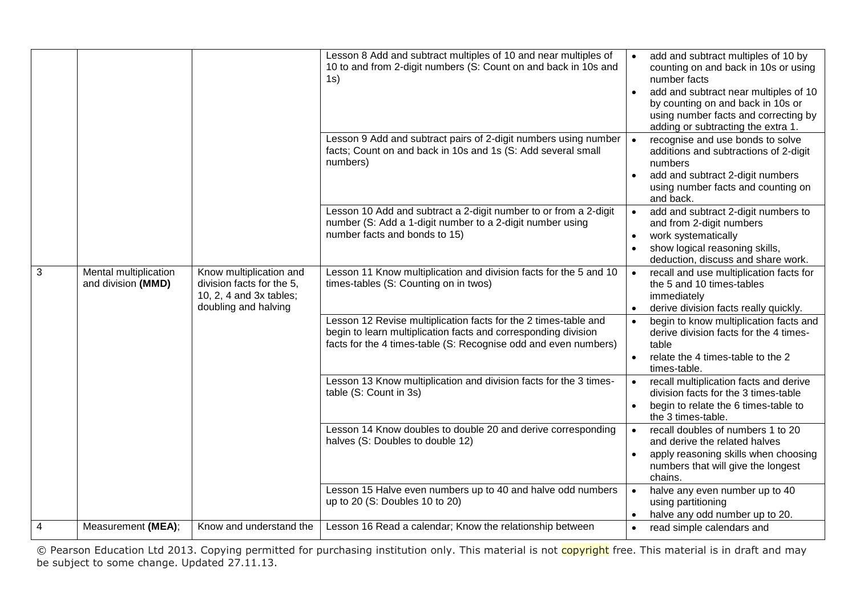|                |                                             |                                                                                                         | Lesson 8 Add and subtract multiples of 10 and near multiples of<br>10 to and from 2-digit numbers (S: Count on and back in 10s and<br>1s)                                                            | add and subtract multiples of 10 by<br>$\bullet$<br>counting on and back in 10s or using<br>number facts<br>add and subtract near multiples of 10<br>by counting on and back in 10s or<br>using number facts and correcting by<br>adding or subtracting the extra 1. |
|----------------|---------------------------------------------|---------------------------------------------------------------------------------------------------------|------------------------------------------------------------------------------------------------------------------------------------------------------------------------------------------------------|----------------------------------------------------------------------------------------------------------------------------------------------------------------------------------------------------------------------------------------------------------------------|
|                |                                             |                                                                                                         | Lesson 9 Add and subtract pairs of 2-digit numbers using number<br>facts; Count on and back in 10s and 1s (S: Add several small<br>numbers)                                                          | recognise and use bonds to solve<br>$\bullet$<br>additions and subtractions of 2-digit<br>numbers<br>add and subtract 2-digit numbers<br>$\bullet$<br>using number facts and counting on<br>and back.                                                                |
|                |                                             |                                                                                                         | Lesson 10 Add and subtract a 2-digit number to or from a 2-digit<br>number (S: Add a 1-digit number to a 2-digit number using<br>number facts and bonds to 15)                                       | add and subtract 2-digit numbers to<br>$\bullet$<br>and from 2-digit numbers<br>work systematically<br>$\bullet$<br>show logical reasoning skills,<br>$\bullet$<br>deduction, discuss and share work.                                                                |
| 3              | Mental multiplication<br>and division (MMD) | Know multiplication and<br>division facts for the 5,<br>10, 2, 4 and 3x tables;<br>doubling and halving | Lesson 11 Know multiplication and division facts for the 5 and 10<br>times-tables (S: Counting on in twos)                                                                                           | recall and use multiplication facts for<br>$\bullet$<br>the 5 and 10 times-tables<br>immediately<br>derive division facts really quickly.<br>$\bullet$                                                                                                               |
|                |                                             |                                                                                                         | Lesson 12 Revise multiplication facts for the 2 times-table and<br>begin to learn multiplication facts and corresponding division<br>facts for the 4 times-table (S: Recognise odd and even numbers) | begin to know multiplication facts and<br>$\bullet$<br>derive division facts for the 4 times-<br>table<br>relate the 4 times-table to the 2<br>$\bullet$<br>times-table.                                                                                             |
|                |                                             |                                                                                                         | Lesson 13 Know multiplication and division facts for the 3 times-<br>table (S: Count in 3s)                                                                                                          | recall multiplication facts and derive<br>$\bullet$<br>division facts for the 3 times-table<br>begin to relate the 6 times-table to<br>$\bullet$<br>the 3 times-table.                                                                                               |
|                |                                             |                                                                                                         | Lesson 14 Know doubles to double 20 and derive corresponding<br>halves (S: Doubles to double 12)                                                                                                     | recall doubles of numbers 1 to 20<br>$\bullet$<br>and derive the related halves<br>apply reasoning skills when choosing<br>$\bullet$<br>numbers that will give the longest<br>chains.                                                                                |
|                |                                             |                                                                                                         | Lesson 15 Halve even numbers up to 40 and halve odd numbers<br>up to 20 (S: Doubles 10 to 20)                                                                                                        | halve any even number up to 40<br>$\bullet$<br>using partitioning<br>halve any odd number up to 20.                                                                                                                                                                  |
| $\overline{4}$ | Measurement (MEA);                          | Know and understand the                                                                                 | Lesson 16 Read a calendar; Know the relationship between                                                                                                                                             | read simple calendars and<br>$\bullet$                                                                                                                                                                                                                               |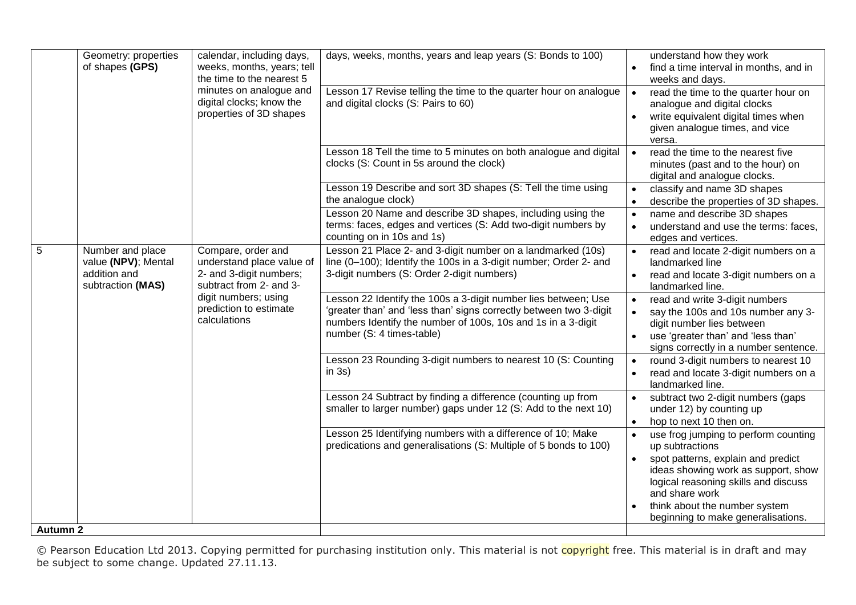|                 | Geometry: properties<br>of shapes (GPS)                                      | calendar, including days,<br>weeks, months, years; tell<br>the time to the nearest 5                  | days, weeks, months, years and leap years (S: Bonds to 100)                                                                                                                                                                       | understand how they work<br>find a time interval in months, and in<br>weeks and days.                                                                                                                                                                                                           |
|-----------------|------------------------------------------------------------------------------|-------------------------------------------------------------------------------------------------------|-----------------------------------------------------------------------------------------------------------------------------------------------------------------------------------------------------------------------------------|-------------------------------------------------------------------------------------------------------------------------------------------------------------------------------------------------------------------------------------------------------------------------------------------------|
|                 |                                                                              | minutes on analogue and<br>digital clocks; know the<br>properties of 3D shapes                        | Lesson 17 Revise telling the time to the quarter hour on analogue<br>and digital clocks (S: Pairs to 60)                                                                                                                          | read the time to the quarter hour on<br>analogue and digital clocks<br>write equivalent digital times when<br>$\bullet$<br>given analogue times, and vice<br>versa.                                                                                                                             |
|                 |                                                                              |                                                                                                       | Lesson 18 Tell the time to 5 minutes on both analogue and digital<br>clocks (S: Count in 5s around the clock)                                                                                                                     | read the time to the nearest five<br>minutes (past and to the hour) on<br>digital and analogue clocks.                                                                                                                                                                                          |
|                 |                                                                              |                                                                                                       | Lesson 19 Describe and sort 3D shapes (S: Tell the time using<br>the analogue clock)                                                                                                                                              | classify and name 3D shapes<br>$\bullet$<br>describe the properties of 3D shapes.                                                                                                                                                                                                               |
|                 |                                                                              |                                                                                                       | Lesson 20 Name and describe 3D shapes, including using the<br>terms: faces, edges and vertices (S: Add two-digit numbers by<br>counting on in 10s and 1s)                                                                         | name and describe 3D shapes<br>$\bullet$<br>understand and use the terms: faces,<br>$\bullet$<br>edges and vertices.                                                                                                                                                                            |
| $\overline{5}$  | Number and place<br>value (NPV); Mental<br>addition and<br>subtraction (MAS) | Compare, order and<br>understand place value of<br>2- and 3-digit numbers;<br>subtract from 2- and 3- | Lesson 21 Place 2- and 3-digit number on a landmarked (10s)<br>line (0-100); Identify the 100s in a 3-digit number; Order 2- and<br>3-digit numbers (S: Order 2-digit numbers)                                                    | read and locate 2-digit numbers on a<br>$\bullet$<br>landmarked line<br>read and locate 3-digit numbers on a<br>landmarked line.                                                                                                                                                                |
|                 |                                                                              | digit numbers; using<br>prediction to estimate<br>calculations                                        | Lesson 22 Identify the 100s a 3-digit number lies between; Use<br>'greater than' and 'less than' signs correctly between two 3-digit<br>numbers Identify the number of 100s, 10s and 1s in a 3-digit<br>number (S: 4 times-table) | read and write 3-digit numbers<br>$\bullet$<br>say the 100s and 10s number any 3-<br>digit number lies between<br>use 'greater than' and 'less than'<br>$\bullet$<br>signs correctly in a number sentence.                                                                                      |
|                 |                                                                              |                                                                                                       | Lesson 23 Rounding 3-digit numbers to nearest 10 (S: Counting<br>in $3s)$                                                                                                                                                         | round 3-digit numbers to nearest 10<br>$\bullet$<br>read and locate 3-digit numbers on a<br>landmarked line.                                                                                                                                                                                    |
|                 |                                                                              |                                                                                                       | Lesson 24 Subtract by finding a difference (counting up from<br>smaller to larger number) gaps under 12 (S: Add to the next 10)                                                                                                   | subtract two 2-digit numbers (gaps<br>$\bullet$<br>under 12) by counting up<br>hop to next 10 then on.<br>$\bullet$                                                                                                                                                                             |
|                 |                                                                              |                                                                                                       | Lesson 25 Identifying numbers with a difference of 10; Make<br>predications and generalisations (S: Multiple of 5 bonds to 100)                                                                                                   | use frog jumping to perform counting<br>$\bullet$<br>up subtractions<br>spot patterns, explain and predict<br>$\bullet$<br>ideas showing work as support, show<br>logical reasoning skills and discuss<br>and share work<br>think about the number system<br>beginning to make generalisations. |
| <b>Autumn 2</b> |                                                                              |                                                                                                       |                                                                                                                                                                                                                                   |                                                                                                                                                                                                                                                                                                 |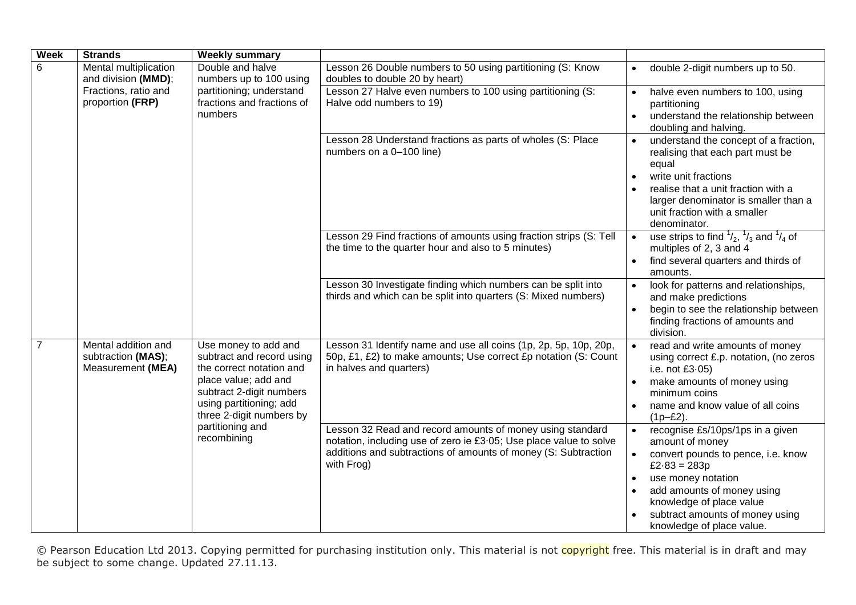| <b>Week</b>    | <b>Strands</b>                                                                                                | <b>Weekly summary</b>                                                                                                                                                                    |                                                                                                                                                                                                                 |                                                                                                                                                                                                                                                                                                     |
|----------------|---------------------------------------------------------------------------------------------------------------|------------------------------------------------------------------------------------------------------------------------------------------------------------------------------------------|-----------------------------------------------------------------------------------------------------------------------------------------------------------------------------------------------------------------|-----------------------------------------------------------------------------------------------------------------------------------------------------------------------------------------------------------------------------------------------------------------------------------------------------|
| 6              | Mental multiplication<br>and division (MMD);                                                                  | Double and halve<br>numbers up to 100 using                                                                                                                                              | Lesson 26 Double numbers to 50 using partitioning (S: Know<br>doubles to double 20 by heart)                                                                                                                    | double 2-digit numbers up to 50.<br>$\bullet$                                                                                                                                                                                                                                                       |
|                | Fractions, ratio and<br>partitioning; understand<br>proportion (FRP)<br>fractions and fractions of<br>numbers |                                                                                                                                                                                          | Lesson 27 Halve even numbers to 100 using partitioning (S:<br>Halve odd numbers to 19)                                                                                                                          | halve even numbers to 100, using<br>$\bullet$<br>partitioning<br>understand the relationship between<br>$\bullet$<br>doubling and halving.                                                                                                                                                          |
|                |                                                                                                               |                                                                                                                                                                                          | Lesson 28 Understand fractions as parts of wholes (S: Place<br>numbers on a 0-100 line)                                                                                                                         | understand the concept of a fraction,<br>realising that each part must be<br>equal<br>write unit fractions<br>$\bullet$<br>realise that a unit fraction with a<br>larger denominator is smaller than a<br>unit fraction with a smaller                                                              |
|                |                                                                                                               |                                                                                                                                                                                          | Lesson 29 Find fractions of amounts using fraction strips (S: Tell<br>the time to the quarter hour and also to 5 minutes)                                                                                       | denominator.<br>use strips to find $\frac{1}{2}$ , $\frac{1}{3}$ and $\frac{1}{4}$ of<br>$\bullet$<br>multiples of 2, 3 and 4<br>find several quarters and thirds of<br>$\bullet$<br>amounts.                                                                                                       |
|                |                                                                                                               |                                                                                                                                                                                          | Lesson 30 Investigate finding which numbers can be split into<br>thirds and which can be split into quarters (S: Mixed numbers)                                                                                 | look for patterns and relationships,<br>and make predictions<br>begin to see the relationship between<br>$\bullet$<br>finding fractions of amounts and<br>division.                                                                                                                                 |
| $\overline{7}$ | Mental addition and<br>subtraction (MAS);<br>Measurement (MEA)                                                | Use money to add and<br>subtract and record using<br>the correct notation and<br>place value; add and<br>subtract 2-digit numbers<br>using partitioning; add<br>three 2-digit numbers by | Lesson 31 Identify name and use all coins (1p, 2p, 5p, 10p, 20p,<br>50p, £1, £2) to make amounts; Use correct £p notation (S: Count<br>in halves and quarters)                                                  | read and write amounts of money<br>using correct £.p. notation, (no zeros<br>i.e. not £3-05)<br>make amounts of money using<br>$\bullet$<br>minimum coins<br>name and know value of all coins<br>$(1p-E2)$ .                                                                                        |
|                |                                                                                                               | partitioning and<br>recombining                                                                                                                                                          | Lesson 32 Read and record amounts of money using standard<br>notation, including use of zero ie £3.05; Use place value to solve<br>additions and subtractions of amounts of money (S: Subtraction<br>with Frog) | recognise £s/10ps/1ps in a given<br>$\bullet$<br>amount of money<br>convert pounds to pence, i.e. know<br>$\bullet$<br>£2 $-83 = 283p$<br>use money notation<br>$\bullet$<br>add amounts of money using<br>knowledge of place value<br>subtract amounts of money using<br>knowledge of place value. |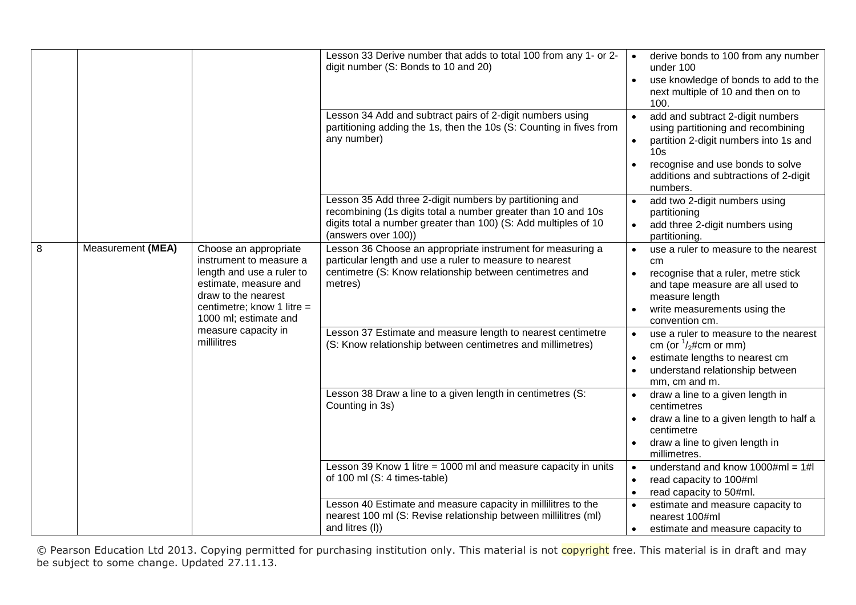|   |                   |                                                                                                                                                                                        | Lesson 33 Derive number that adds to total 100 from any 1- or 2-<br>digit number (S: Bonds to 10 and 20)                                                                                                           | derive bonds to 100 from any number<br>under 100<br>use knowledge of bonds to add to the<br>$\bullet$<br>next multiple of 10 and then on to<br>100.                                                                         |
|---|-------------------|----------------------------------------------------------------------------------------------------------------------------------------------------------------------------------------|--------------------------------------------------------------------------------------------------------------------------------------------------------------------------------------------------------------------|-----------------------------------------------------------------------------------------------------------------------------------------------------------------------------------------------------------------------------|
|   |                   |                                                                                                                                                                                        | Lesson 34 Add and subtract pairs of 2-digit numbers using<br>partitioning adding the 1s, then the 10s (S: Counting in fives from<br>any number)                                                                    | add and subtract 2-digit numbers<br>using partitioning and recombining<br>partition 2-digit numbers into 1s and<br>10 <sub>s</sub><br>recognise and use bonds to solve<br>additions and subtractions of 2-digit<br>numbers. |
|   |                   |                                                                                                                                                                                        | Lesson 35 Add three 2-digit numbers by partitioning and<br>recombining (1s digits total a number greater than 10 and 10s<br>digits total a number greater than 100) (S: Add multiples of 10<br>(answers over 100)) | add two 2-digit numbers using<br>partitioning<br>add three 2-digit numbers using<br>partitioning.                                                                                                                           |
| 8 | Measurement (MEA) | Choose an appropriate<br>instrument to measure a<br>length and use a ruler to<br>estimate, measure and<br>draw to the nearest<br>centimetre; know 1 litre $=$<br>1000 ml; estimate and | Lesson 36 Choose an appropriate instrument for measuring a<br>particular length and use a ruler to measure to nearest<br>centimetre (S: Know relationship between centimetres and<br>metres)                       | use a ruler to measure to the nearest<br>cm<br>recognise that a ruler, metre stick<br>and tape measure are all used to<br>measure length<br>write measurements using the<br>convention cm.                                  |
|   | millilitres       | measure capacity in                                                                                                                                                                    | Lesson 37 Estimate and measure length to nearest centimetre<br>(S: Know relationship between centimetres and millimetres)                                                                                          | use a ruler to measure to the nearest<br>cm (or $\frac{1}{2}$ #cm or mm)<br>estimate lengths to nearest cm<br>understand relationship between<br>mm, cm and m.                                                              |
|   |                   |                                                                                                                                                                                        | Lesson 38 Draw a line to a given length in centimetres (S:<br>Counting in 3s)                                                                                                                                      | draw a line to a given length in<br>centimetres<br>draw a line to a given length to half a<br>centimetre<br>draw a line to given length in<br>millimetres.                                                                  |
|   |                   |                                                                                                                                                                                        | Lesson 39 Know 1 litre = 1000 ml and measure capacity in units<br>of 100 ml (S: 4 times-table)                                                                                                                     | understand and know $1000 \text{#ml} = 1 \text{#I}$<br>read capacity to 100#ml<br>$\bullet$<br>read capacity to 50#ml.                                                                                                      |
|   |                   |                                                                                                                                                                                        | Lesson 40 Estimate and measure capacity in millilitres to the<br>nearest 100 ml (S: Revise relationship between millilitres (ml)<br>and litres (I))                                                                | estimate and measure capacity to<br>nearest 100#ml<br>estimate and measure capacity to                                                                                                                                      |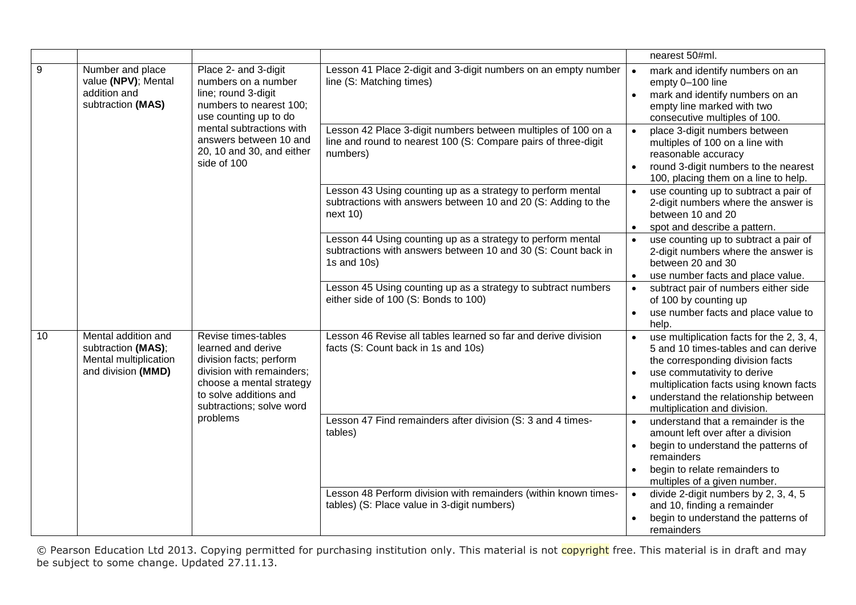|    |                                                                                          |                                                                                                                                                                                                                          |                                                                                                                                             |                                     | nearest 50#ml.                                                                                                                                                                                                                                                        |
|----|------------------------------------------------------------------------------------------|--------------------------------------------------------------------------------------------------------------------------------------------------------------------------------------------------------------------------|---------------------------------------------------------------------------------------------------------------------------------------------|-------------------------------------|-----------------------------------------------------------------------------------------------------------------------------------------------------------------------------------------------------------------------------------------------------------------------|
| 9  | Number and place<br>value (NPV); Mental<br>addition and<br>subtraction (MAS)             | Place 2- and 3-digit<br>numbers on a number<br>line; round 3-digit<br>numbers to nearest 100;<br>use counting up to do<br>mental subtractions with<br>answers between 10 and<br>20, 10 and 30, and either<br>side of 100 | Lesson 41 Place 2-digit and 3-digit numbers on an empty number<br>line (S: Matching times)                                                  | $\bullet$<br>$\bullet$              | mark and identify numbers on an<br>empty 0-100 line<br>mark and identify numbers on an<br>empty line marked with two<br>consecutive multiples of 100.                                                                                                                 |
|    |                                                                                          |                                                                                                                                                                                                                          | Lesson 42 Place 3-digit numbers between multiples of 100 on a<br>line and round to nearest 100 (S: Compare pairs of three-digit<br>numbers) | $\bullet$                           | place 3-digit numbers between<br>multiples of 100 on a line with<br>reasonable accuracy<br>round 3-digit numbers to the nearest<br>100, placing them on a line to help.                                                                                               |
|    |                                                                                          |                                                                                                                                                                                                                          | Lesson 43 Using counting up as a strategy to perform mental<br>subtractions with answers between 10 and 20 (S: Adding to the<br>next 10     | $\bullet$<br>$\bullet$              | use counting up to subtract a pair of<br>2-digit numbers where the answer is<br>between 10 and 20<br>spot and describe a pattern.                                                                                                                                     |
|    |                                                                                          |                                                                                                                                                                                                                          | Lesson 44 Using counting up as a strategy to perform mental<br>subtractions with answers between 10 and 30 (S: Count back in<br>1s and 10s) | $\bullet$<br>$\bullet$              | use counting up to subtract a pair of<br>2-digit numbers where the answer is<br>between 20 and 30<br>use number facts and place value.                                                                                                                                |
|    |                                                                                          |                                                                                                                                                                                                                          | Lesson 45 Using counting up as a strategy to subtract numbers<br>either side of 100 (S: Bonds to 100)                                       | $\bullet$<br>$\bullet$              | subtract pair of numbers either side<br>of 100 by counting up<br>use number facts and place value to<br>help.                                                                                                                                                         |
| 10 | Mental addition and<br>subtraction (MAS);<br>Mental multiplication<br>and division (MMD) | Revise times-tables<br>learned and derive<br>division facts; perform<br>division with remainders;<br>choose a mental strategy<br>to solve additions and<br>subtractions; solve word                                      | Lesson 46 Revise all tables learned so far and derive division<br>facts (S: Count back in 1s and 10s)                                       | $\bullet$                           | use multiplication facts for the 2, 3, 4,<br>5 and 10 times-tables and can derive<br>the corresponding division facts<br>use commutativity to derive<br>multiplication facts using known facts<br>understand the relationship between<br>multiplication and division. |
|    |                                                                                          | problems                                                                                                                                                                                                                 | Lesson 47 Find remainders after division (S: 3 and 4 times-<br>tables)                                                                      | $\bullet$<br>$\bullet$<br>$\bullet$ | understand that a remainder is the<br>amount left over after a division<br>begin to understand the patterns of<br>remainders<br>begin to relate remainders to<br>multiples of a given number.                                                                         |
|    |                                                                                          |                                                                                                                                                                                                                          | Lesson 48 Perform division with remainders (within known times-<br>tables) (S: Place value in 3-digit numbers)                              | $\bullet$                           | divide 2-digit numbers by 2, 3, 4, 5<br>and 10, finding a remainder<br>begin to understand the patterns of<br>remainders                                                                                                                                              |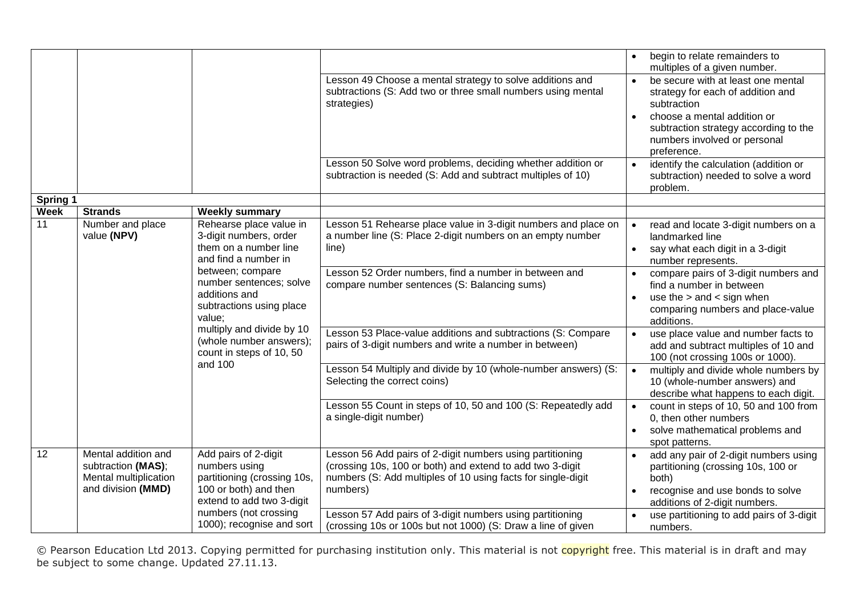|                   |                                                                                          |                                                                                                                                                                                                                                                                                                                                  | Lesson 49 Choose a mental strategy to solve additions and<br>subtractions (S: Add two or three small numbers using mental<br>strategies)<br>Lesson 50 Solve word problems, deciding whether addition or<br>subtraction is needed (S: Add and subtract multiples of 10)                                                                                                                                                                                                                                                                                                 | begin to relate remainders to<br>multiples of a given number.<br>be secure with at least one mental<br>$\bullet$<br>strategy for each of addition and<br>subtraction<br>choose a mental addition or<br>subtraction strategy according to the<br>numbers involved or personal<br>preference.<br>identify the calculation (addition or<br>subtraction) needed to solve a word<br>problem.                                                                                                                                                                                                                                                                                                               |
|-------------------|------------------------------------------------------------------------------------------|----------------------------------------------------------------------------------------------------------------------------------------------------------------------------------------------------------------------------------------------------------------------------------------------------------------------------------|------------------------------------------------------------------------------------------------------------------------------------------------------------------------------------------------------------------------------------------------------------------------------------------------------------------------------------------------------------------------------------------------------------------------------------------------------------------------------------------------------------------------------------------------------------------------|-------------------------------------------------------------------------------------------------------------------------------------------------------------------------------------------------------------------------------------------------------------------------------------------------------------------------------------------------------------------------------------------------------------------------------------------------------------------------------------------------------------------------------------------------------------------------------------------------------------------------------------------------------------------------------------------------------|
| <b>Spring 1</b>   |                                                                                          |                                                                                                                                                                                                                                                                                                                                  |                                                                                                                                                                                                                                                                                                                                                                                                                                                                                                                                                                        |                                                                                                                                                                                                                                                                                                                                                                                                                                                                                                                                                                                                                                                                                                       |
| <b>Week</b><br>11 | <b>Strands</b><br>Number and place<br>value (NPV)                                        | <b>Weekly summary</b><br>Rehearse place value in<br>3-digit numbers, order<br>them on a number line<br>and find a number in<br>between; compare<br>number sentences; solve<br>additions and<br>subtractions using place<br>value;<br>multiply and divide by 10<br>(whole number answers);<br>count in steps of 10, 50<br>and 100 | Lesson 51 Rehearse place value in 3-digit numbers and place on<br>a number line (S: Place 2-digit numbers on an empty number<br>line)<br>Lesson 52 Order numbers, find a number in between and<br>compare number sentences (S: Balancing sums)<br>Lesson 53 Place-value additions and subtractions (S: Compare<br>pairs of 3-digit numbers and write a number in between)<br>Lesson 54 Multiply and divide by 10 (whole-number answers) (S:<br>Selecting the correct coins)<br>Lesson 55 Count in steps of 10, 50 and 100 (S: Repeatedly add<br>a single-digit number) | read and locate 3-digit numbers on a<br>landmarked line<br>say what each digit in a 3-digit<br>number represents.<br>compare pairs of 3-digit numbers and<br>$\bullet$<br>find a number in between<br>use the $>$ and $<$ sign when<br>$\bullet$<br>comparing numbers and place-value<br>additions.<br>use place value and number facts to<br>$\bullet$<br>add and subtract multiples of 10 and<br>100 (not crossing 100s or 1000).<br>multiply and divide whole numbers by<br>10 (whole-number answers) and<br>describe what happens to each digit.<br>count in steps of 10, 50 and 100 from<br>$\bullet$<br>0, then other numbers<br>solve mathematical problems and<br>$\bullet$<br>spot patterns. |
| 12                | Mental addition and<br>subtraction (MAS);<br>Mental multiplication<br>and division (MMD) | Add pairs of 2-digit<br>numbers using<br>partitioning (crossing 10s,<br>100 or both) and then<br>extend to add two 3-digit<br>numbers (not crossing<br>1000); recognise and sort                                                                                                                                                 | Lesson 56 Add pairs of 2-digit numbers using partitioning<br>(crossing 10s, 100 or both) and extend to add two 3-digit<br>numbers (S: Add multiples of 10 using facts for single-digit<br>numbers)<br>Lesson 57 Add pairs of 3-digit numbers using partitioning<br>(crossing 10s or 100s but not 1000) (S: Draw a line of given                                                                                                                                                                                                                                        | add any pair of 2-digit numbers using<br>$\bullet$<br>partitioning (crossing 10s, 100 or<br>both)<br>recognise and use bonds to solve<br>additions of 2-digit numbers.<br>use partitioning to add pairs of 3-digit<br>numbers.                                                                                                                                                                                                                                                                                                                                                                                                                                                                        |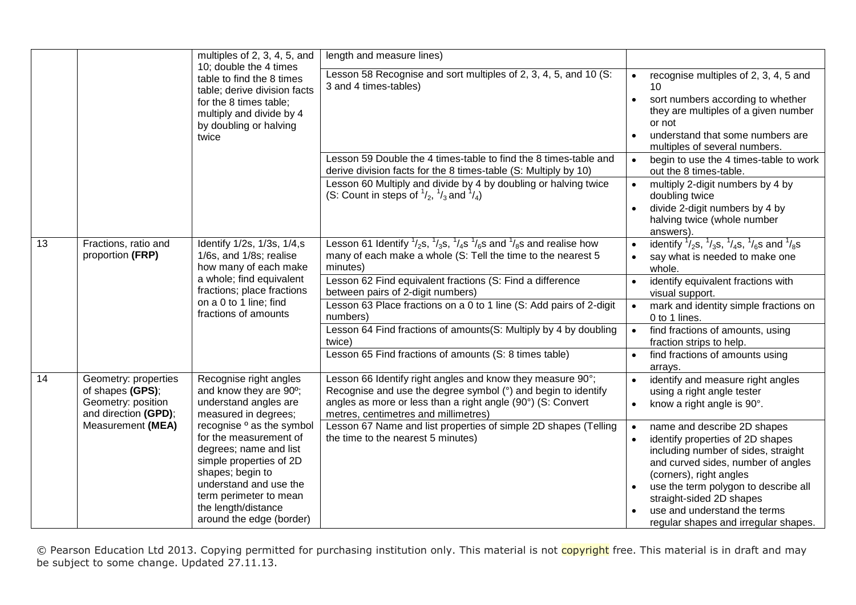|    |                                                                                        | multiples of 2, 3, 4, 5, and                                                                                                                                                                                                                   | length and measure lines)                                                                                                                                                                                                          |                                                                                                                                                                                                                                                                                                                                  |
|----|----------------------------------------------------------------------------------------|------------------------------------------------------------------------------------------------------------------------------------------------------------------------------------------------------------------------------------------------|------------------------------------------------------------------------------------------------------------------------------------------------------------------------------------------------------------------------------------|----------------------------------------------------------------------------------------------------------------------------------------------------------------------------------------------------------------------------------------------------------------------------------------------------------------------------------|
|    |                                                                                        | 10; double the 4 times<br>table to find the 8 times<br>table; derive division facts<br>for the 8 times table;<br>multiply and divide by 4<br>by doubling or halving<br>twice                                                                   | Lesson 58 Recognise and sort multiples of 2, 3, 4, 5, and 10 (S:<br>3 and 4 times-tables)                                                                                                                                          | recognise multiples of 2, 3, 4, 5 and<br>10<br>sort numbers according to whether<br>$\bullet$<br>they are multiples of a given number<br>or not<br>understand that some numbers are<br>$\bullet$<br>multiples of several numbers.                                                                                                |
|    |                                                                                        |                                                                                                                                                                                                                                                | Lesson 59 Double the 4 times-table to find the 8 times-table and<br>derive division facts for the 8 times-table (S: Multiply by 10)                                                                                                | begin to use the 4 times-table to work<br>$\bullet$<br>out the 8 times-table.                                                                                                                                                                                                                                                    |
|    |                                                                                        |                                                                                                                                                                                                                                                | Lesson 60 Multiply and divide by 4 by doubling or halving twice<br>(S: Count in steps of $\frac{1}{2}$ , $\frac{1}{3}$ and $\frac{1}{4}$ )                                                                                         | multiply 2-digit numbers by 4 by<br>$\bullet$<br>doubling twice<br>divide 2-digit numbers by 4 by<br>$\bullet$<br>halving twice (whole number<br>answers).                                                                                                                                                                       |
| 13 | Fractions, ratio and<br>proportion (FRP)                                               | Identify 1/2s, 1/3s, 1/4,s<br>1/6s, and 1/8s; realise<br>how many of each make                                                                                                                                                                 | Lesson 61 Identify $\frac{1}{2}$ s, $\frac{1}{3}$ s, $\frac{1}{4}$ s $\frac{1}{6}$ s and $\frac{1}{8}$ s and realise how<br>many of each make a whole (S: Tell the time to the nearest 5<br>minutes)                               | identify $\frac{1}{2}$ s, $\frac{1}{3}$ s, $\frac{1}{4}$ s, $\frac{1}{6}$ s and $\frac{1}{8}$ s<br>$\bullet$<br>say what is needed to make one<br>whole.                                                                                                                                                                         |
|    |                                                                                        | a whole; find equivalent<br>fractions; place fractions<br>on a 0 to 1 line; find<br>fractions of amounts                                                                                                                                       | Lesson 62 Find equivalent fractions (S: Find a difference<br>between pairs of 2-digit numbers)                                                                                                                                     | identify equivalent fractions with<br>visual support.                                                                                                                                                                                                                                                                            |
|    |                                                                                        |                                                                                                                                                                                                                                                | Lesson 63 Place fractions on a 0 to 1 line (S: Add pairs of 2-digit<br>numbers)                                                                                                                                                    | mark and identity simple fractions on<br>0 to 1 lines.                                                                                                                                                                                                                                                                           |
|    |                                                                                        |                                                                                                                                                                                                                                                | Lesson 64 Find fractions of amounts(S: Multiply by 4 by doubling<br>twice)                                                                                                                                                         | find fractions of amounts, using<br>fraction strips to help.                                                                                                                                                                                                                                                                     |
|    |                                                                                        |                                                                                                                                                                                                                                                | Lesson 65 Find fractions of amounts (S: 8 times table)                                                                                                                                                                             | find fractions of amounts using<br>$\bullet$<br>arrays.                                                                                                                                                                                                                                                                          |
| 14 | Geometry: properties<br>of shapes (GPS);<br>Geometry: position<br>and direction (GPD); | Recognise right angles<br>and know they are 90°;<br>understand angles are<br>measured in degrees;                                                                                                                                              | Lesson 66 Identify right angles and know they measure 90°;<br>Recognise and use the degree symbol (°) and begin to identify<br>angles as more or less than a right angle (90°) (S: Convert<br>metres, centimetres and millimetres) | identify and measure right angles<br>$\bullet$<br>using a right angle tester<br>know a right angle is 90°.<br>$\bullet$                                                                                                                                                                                                          |
|    | Measurement (MEA)                                                                      | recognise <sup>o</sup> as the symbol<br>for the measurement of<br>degrees; name and list<br>simple properties of 2D<br>shapes; begin to<br>understand and use the<br>term perimeter to mean<br>the length/distance<br>around the edge (border) | Lesson 67 Name and list properties of simple 2D shapes (Telling<br>the time to the nearest 5 minutes)                                                                                                                              | name and describe 2D shapes<br>identify properties of 2D shapes<br>including number of sides, straight<br>and curved sides, number of angles<br>(corners), right angles<br>use the term polygon to describe all<br>$\bullet$<br>straight-sided 2D shapes<br>use and understand the terms<br>regular shapes and irregular shapes. |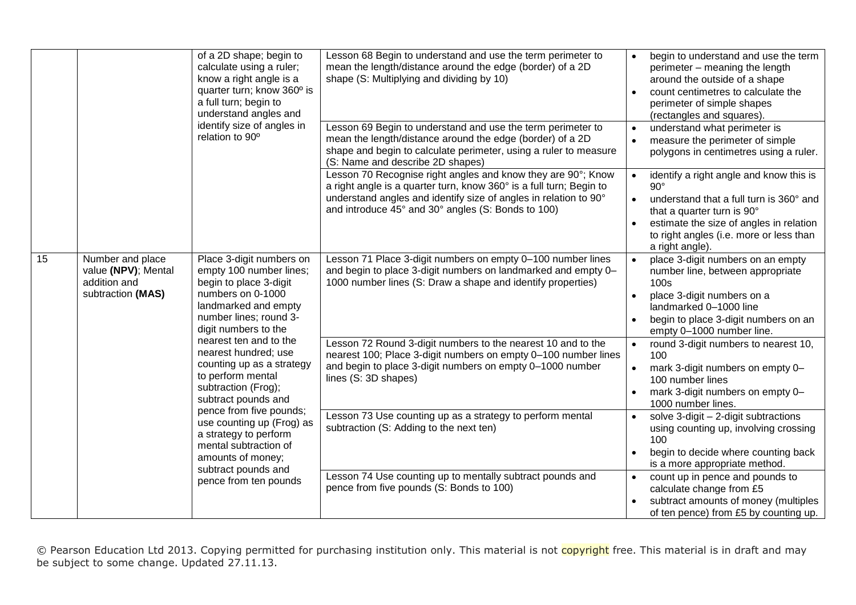|    | of a 2D shape; begin to<br>calculate using a ruler;<br>know a right angle is a<br>quarter turn; know 360° is<br>a full turn; begin to<br>understand angles and | Lesson 68 Begin to understand and use the term perimeter to<br>mean the length/distance around the edge (border) of a 2D<br>shape (S: Multiplying and dividing by 10)                                                                                                                                                          | begin to understand and use the term<br>$\bullet$<br>perimeter - meaning the length<br>around the outside of a shape<br>count centimetres to calculate the<br>perimeter of simple shapes<br>(rectangles and squares).                   |                                                                                                                                                                                                                         |
|----|----------------------------------------------------------------------------------------------------------------------------------------------------------------|--------------------------------------------------------------------------------------------------------------------------------------------------------------------------------------------------------------------------------------------------------------------------------------------------------------------------------|-----------------------------------------------------------------------------------------------------------------------------------------------------------------------------------------------------------------------------------------|-------------------------------------------------------------------------------------------------------------------------------------------------------------------------------------------------------------------------|
|    |                                                                                                                                                                | identify size of angles in<br>relation to 90°                                                                                                                                                                                                                                                                                  | Lesson 69 Begin to understand and use the term perimeter to<br>mean the length/distance around the edge (border) of a 2D<br>shape and begin to calculate perimeter, using a ruler to measure<br>(S: Name and describe 2D shapes)        | understand what perimeter is<br>$\bullet$<br>measure the perimeter of simple<br>$\bullet$<br>polygons in centimetres using a ruler.                                                                                     |
|    |                                                                                                                                                                | Lesson 70 Recognise right angles and know they are 90°; Know<br>a right angle is a quarter turn, know 360° is a full turn; Begin to<br>understand angles and identify size of angles in relation to 90°<br>and introduce 45° and 30° angles (S: Bonds to 100)                                                                  | identify a right angle and know this is<br>$90^\circ$<br>understand that a full turn is 360° and<br>that a quarter turn is 90°<br>estimate the size of angles in relation<br>to right angles (i.e. more or less than<br>a right angle). |                                                                                                                                                                                                                         |
| 15 | Number and place<br>value (NPV); Mental<br>addition and<br>subtraction (MAS)                                                                                   | Place 3-digit numbers on<br>empty 100 number lines;<br>begin to place 3-digit<br>numbers on 0-1000<br>landmarked and empty<br>number lines; round 3-<br>digit numbers to the<br>nearest ten and to the<br>nearest hundred; use<br>counting up as a strategy<br>to perform mental<br>subtraction (Frog);<br>subtract pounds and | Lesson 71 Place 3-digit numbers on empty 0-100 number lines<br>and begin to place 3-digit numbers on landmarked and empty 0-<br>1000 number lines (S: Draw a shape and identify properties)                                             | place 3-digit numbers on an empty<br>$\bullet$<br>number line, between appropriate<br>100s<br>place 3-digit numbers on a<br>landmarked 0-1000 line<br>begin to place 3-digit numbers on an<br>empty 0-1000 number line. |
|    |                                                                                                                                                                |                                                                                                                                                                                                                                                                                                                                | Lesson 72 Round 3-digit numbers to the nearest 10 and to the<br>nearest 100; Place 3-digit numbers on empty 0-100 number lines<br>and begin to place 3-digit numbers on empty 0-1000 number<br>lines (S: 3D shapes)                     | round 3-digit numbers to nearest 10,<br>$\bullet$<br>100<br>mark 3-digit numbers on empty 0-<br>$\bullet$<br>100 number lines<br>mark 3-digit numbers on empty 0-<br>1000 number lines.                                 |
|    |                                                                                                                                                                | pence from five pounds;<br>use counting up (Frog) as<br>a strategy to perform<br>mental subtraction of<br>amounts of money;<br>subtract pounds and                                                                                                                                                                             | Lesson 73 Use counting up as a strategy to perform mental<br>subtraction (S: Adding to the next ten)                                                                                                                                    | solve $3$ -digit $-2$ -digit subtractions<br>$\bullet$<br>using counting up, involving crossing<br>100<br>begin to decide where counting back<br>is a more appropriate method.                                          |
|    |                                                                                                                                                                | pence from ten pounds                                                                                                                                                                                                                                                                                                          | Lesson 74 Use counting up to mentally subtract pounds and<br>pence from five pounds (S: Bonds to 100)                                                                                                                                   | count up in pence and pounds to<br>$\bullet$<br>calculate change from £5<br>subtract amounts of money (multiples<br>of ten pence) from £5 by counting up.                                                               |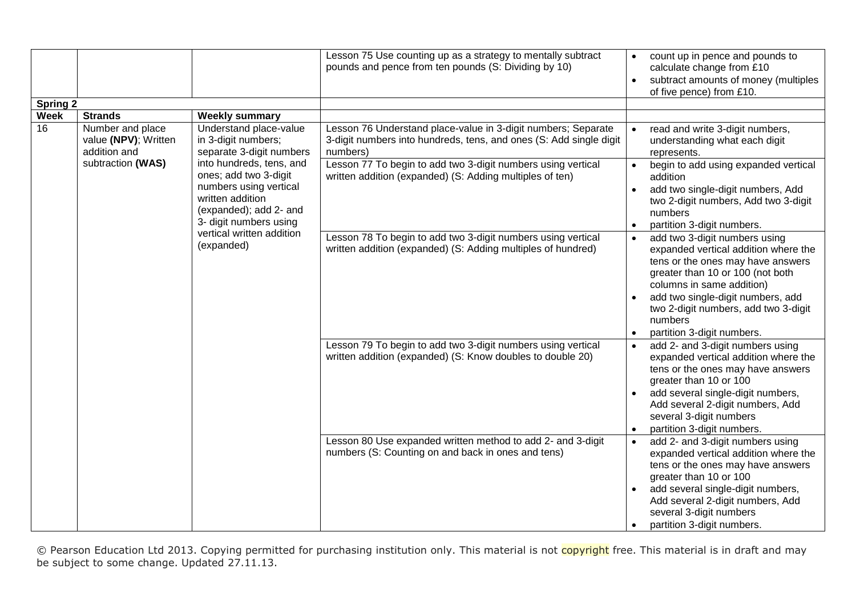|                                |                                                                                                                                                                                                                                                                                                                                                                                                         |                                                                                                                                                                                                                                                                             | Lesson 75 Use counting up as a strategy to mentally subtract<br>pounds and pence from ten pounds (S: Dividing by 10)                                                                                                        | count up in pence and pounds to<br>$\bullet$<br>calculate change from £10<br>subtract amounts of money (multiples<br>$\bullet$<br>of five pence) from £10.                                                                                                                                                                                                             |
|--------------------------------|---------------------------------------------------------------------------------------------------------------------------------------------------------------------------------------------------------------------------------------------------------------------------------------------------------------------------------------------------------------------------------------------------------|-----------------------------------------------------------------------------------------------------------------------------------------------------------------------------------------------------------------------------------------------------------------------------|-----------------------------------------------------------------------------------------------------------------------------------------------------------------------------------------------------------------------------|------------------------------------------------------------------------------------------------------------------------------------------------------------------------------------------------------------------------------------------------------------------------------------------------------------------------------------------------------------------------|
| <b>Spring 2</b>                |                                                                                                                                                                                                                                                                                                                                                                                                         |                                                                                                                                                                                                                                                                             |                                                                                                                                                                                                                             |                                                                                                                                                                                                                                                                                                                                                                        |
| <b>Week</b><br>$\overline{16}$ | <b>Strands</b><br><b>Weekly summary</b><br>Number and place<br>Understand place-value<br>value (NPV); Written<br>in 3-digit numbers;<br>separate 3-digit numbers<br>addition and<br>subtraction (WAS)<br>into hundreds, tens, and<br>ones; add two 3-digit<br>numbers using vertical<br>written addition<br>(expanded); add 2- and<br>3- digit numbers using<br>vertical written addition<br>(expanded) | Lesson 76 Understand place-value in 3-digit numbers; Separate<br>3-digit numbers into hundreds, tens, and ones (S: Add single digit<br>numbers)<br>Lesson 77 To begin to add two 3-digit numbers using vertical<br>written addition (expanded) (S: Adding multiples of ten) | read and write 3-digit numbers,<br>understanding what each digit<br>represents.<br>begin to add using expanded vertical<br>addition<br>add two single-digit numbers, Add<br>two 2-digit numbers, Add two 3-digit<br>numbers |                                                                                                                                                                                                                                                                                                                                                                        |
|                                |                                                                                                                                                                                                                                                                                                                                                                                                         |                                                                                                                                                                                                                                                                             | Lesson 78 To begin to add two 3-digit numbers using vertical<br>written addition (expanded) (S: Adding multiples of hundred)                                                                                                | partition 3-digit numbers.<br>$\bullet$<br>add two 3-digit numbers using<br>$\bullet$<br>expanded vertical addition where the<br>tens or the ones may have answers<br>greater than 10 or 100 (not both<br>columns in same addition)<br>add two single-digit numbers, add<br>two 2-digit numbers, add two 3-digit<br>numbers<br>partition 3-digit numbers.<br>$\bullet$ |
|                                |                                                                                                                                                                                                                                                                                                                                                                                                         |                                                                                                                                                                                                                                                                             | Lesson 79 To begin to add two 3-digit numbers using vertical<br>written addition (expanded) (S: Know doubles to double 20)                                                                                                  | add 2- and 3-digit numbers using<br>expanded vertical addition where the<br>tens or the ones may have answers<br>greater than 10 or 100<br>add several single-digit numbers,<br>Add several 2-digit numbers, Add<br>several 3-digit numbers<br>partition 3-digit numbers.<br>$\bullet$                                                                                 |
|                                |                                                                                                                                                                                                                                                                                                                                                                                                         |                                                                                                                                                                                                                                                                             | Lesson 80 Use expanded written method to add 2- and 3-digit<br>numbers (S: Counting on and back in ones and tens)                                                                                                           | add 2- and 3-digit numbers using<br>expanded vertical addition where the<br>tens or the ones may have answers<br>greater than 10 or 100<br>add several single-digit numbers,<br>$\bullet$<br>Add several 2-digit numbers, Add<br>several 3-digit numbers<br>partition 3-digit numbers.                                                                                 |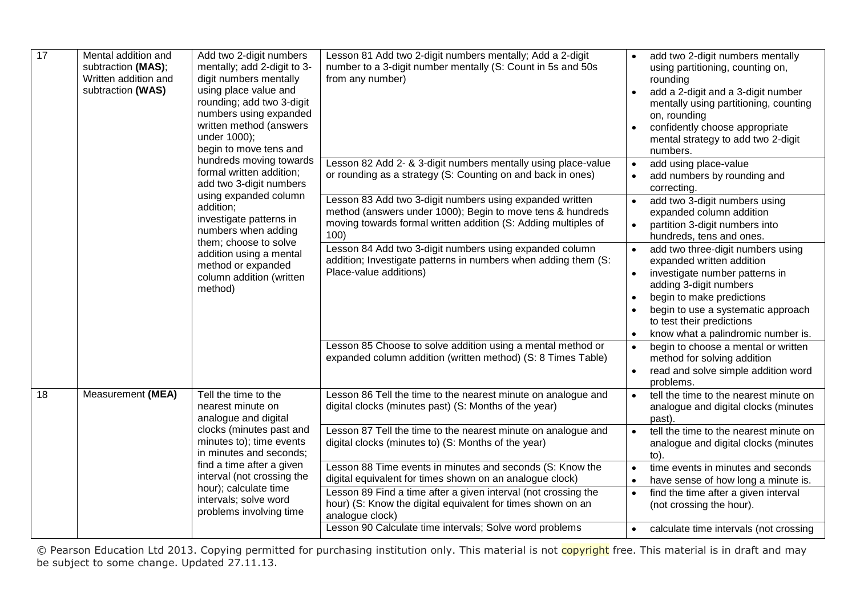| $\overline{17}$ | Mental addition and<br>subtraction (MAS);<br>Written addition and<br>digit numbers mentally<br>subtraction (WAS)<br>using place value and<br>written method (answers<br>under 1000); | Add two 2-digit numbers<br>mentally; add 2-digit to 3-<br>rounding; add two 3-digit<br>numbers using expanded<br>begin to move tens and | Lesson 81 Add two 2-digit numbers mentally; Add a 2-digit<br>number to a 3-digit number mentally (S: Count in 5s and 50s<br>from any number)                                                     | add two 2-digit numbers mentally<br>using partitioning, counting on,<br>rounding<br>add a 2-digit and a 3-digit number<br>$\bullet$<br>mentally using partitioning, counting<br>on, rounding<br>confidently choose appropriate<br>mental strategy to add two 2-digit<br>numbers.                        |
|-----------------|--------------------------------------------------------------------------------------------------------------------------------------------------------------------------------------|-----------------------------------------------------------------------------------------------------------------------------------------|--------------------------------------------------------------------------------------------------------------------------------------------------------------------------------------------------|---------------------------------------------------------------------------------------------------------------------------------------------------------------------------------------------------------------------------------------------------------------------------------------------------------|
|                 |                                                                                                                                                                                      | hundreds moving towards<br>formal written addition;<br>add two 3-digit numbers                                                          | Lesson 82 Add 2- & 3-digit numbers mentally using place-value<br>or rounding as a strategy (S: Counting on and back in ones)                                                                     | add using place-value<br>$\bullet$<br>add numbers by rounding and<br>correcting.                                                                                                                                                                                                                        |
|                 |                                                                                                                                                                                      | using expanded column<br>addition;<br>investigate patterns in<br>numbers when adding                                                    | Lesson 83 Add two 3-digit numbers using expanded written<br>method (answers under 1000); Begin to move tens & hundreds<br>moving towards formal written addition (S: Adding multiples of<br>100) | add two 3-digit numbers using<br>$\bullet$<br>expanded column addition<br>partition 3-digit numbers into<br>$\bullet$<br>hundreds, tens and ones.                                                                                                                                                       |
|                 | them; choose to solve<br>addition using a mental<br>method or expanded<br>column addition (written<br>method)                                                                        |                                                                                                                                         | Lesson 84 Add two 3-digit numbers using expanded column<br>addition; Investigate patterns in numbers when adding them (S:<br>Place-value additions)                                              | add two three-digit numbers using<br>$\bullet$<br>expanded written addition<br>investigate number patterns in<br>$\bullet$<br>adding 3-digit numbers<br>begin to make predictions<br>$\bullet$<br>begin to use a systematic approach<br>to test their predictions<br>know what a palindromic number is. |
|                 |                                                                                                                                                                                      |                                                                                                                                         | Lesson 85 Choose to solve addition using a mental method or<br>expanded column addition (written method) (S: 8 Times Table)                                                                      | begin to choose a mental or written<br>$\bullet$<br>method for solving addition<br>read and solve simple addition word<br>$\bullet$<br>problems.                                                                                                                                                        |
| 18              | Measurement (MEA)                                                                                                                                                                    | Tell the time to the<br>nearest minute on<br>analogue and digital                                                                       | Lesson 86 Tell the time to the nearest minute on analogue and<br>digital clocks (minutes past) (S: Months of the year)                                                                           | tell the time to the nearest minute on<br>$\bullet$<br>analogue and digital clocks (minutes<br>past).                                                                                                                                                                                                   |
|                 |                                                                                                                                                                                      | clocks (minutes past and<br>minutes to); time events<br>in minutes and seconds;                                                         | Lesson 87 Tell the time to the nearest minute on analogue and<br>digital clocks (minutes to) (S: Months of the year)                                                                             | tell the time to the nearest minute on<br>$\bullet$<br>analogue and digital clocks (minutes<br>to).                                                                                                                                                                                                     |
|                 |                                                                                                                                                                                      | find a time after a given<br>interval (not crossing the<br>hour); calculate time                                                        | Lesson 88 Time events in minutes and seconds (S: Know the<br>digital equivalent for times shown on an analogue clock)<br>Lesson 89 Find a time after a given interval (not crossing the          | time events in minutes and seconds<br>$\bullet$<br>have sense of how long a minute is.<br>$\bullet$<br>find the time after a given interval<br>$\bullet$                                                                                                                                                |
|                 |                                                                                                                                                                                      | intervals; solve word<br>problems involving time                                                                                        | hour) (S: Know the digital equivalent for times shown on an<br>analogue clock)<br>Lesson 90 Calculate time intervals; Solve word problems                                                        | (not crossing the hour).<br>calculate time intervals (not crossing<br>$\bullet$                                                                                                                                                                                                                         |
|                 |                                                                                                                                                                                      |                                                                                                                                         |                                                                                                                                                                                                  |                                                                                                                                                                                                                                                                                                         |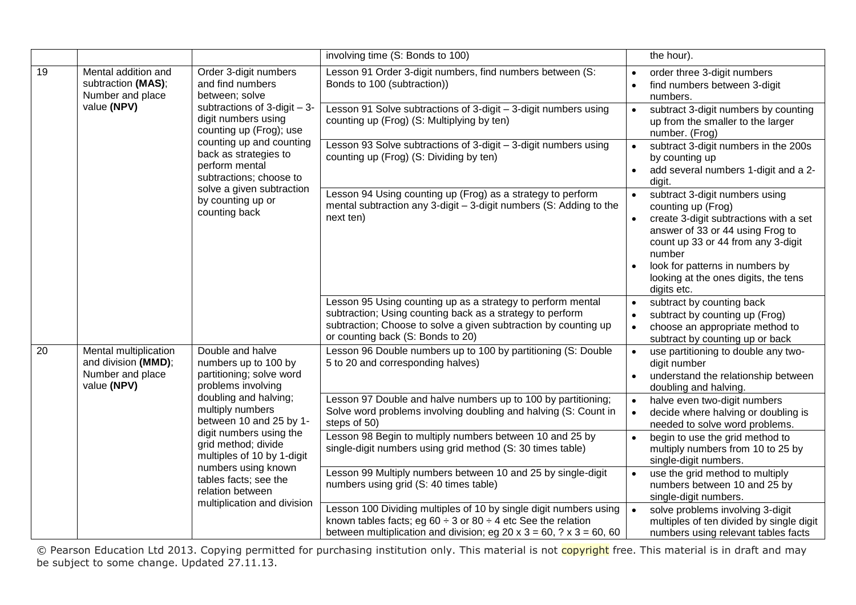|    |                                                                                 |                                                                                                                                                                    | involving time (S: Bonds to 100)                                                                                                                                                                                                 | the hour).                                                                                                                                                                                                                                                                                |
|----|---------------------------------------------------------------------------------|--------------------------------------------------------------------------------------------------------------------------------------------------------------------|----------------------------------------------------------------------------------------------------------------------------------------------------------------------------------------------------------------------------------|-------------------------------------------------------------------------------------------------------------------------------------------------------------------------------------------------------------------------------------------------------------------------------------------|
| 19 | Mental addition and<br>subtraction (MAS);<br>Number and place                   | Order 3-digit numbers<br>and find numbers<br>between; solve<br>subtractions of $3$ -digit $-3$ -<br>digit numbers using<br>counting up (Frog); use                 | Lesson 91 Order 3-digit numbers, find numbers between (S:<br>Bonds to 100 (subtraction))                                                                                                                                         | order three 3-digit numbers<br>$\bullet$<br>find numbers between 3-digit<br>$\bullet$<br>numbers.                                                                                                                                                                                         |
|    | value (NPV)                                                                     |                                                                                                                                                                    | Lesson 91 Solve subtractions of 3-digit - 3-digit numbers using<br>counting up (Frog) (S: Multiplying by ten)                                                                                                                    | subtract 3-digit numbers by counting<br>$\bullet$<br>up from the smaller to the larger<br>number. (Frog)                                                                                                                                                                                  |
|    |                                                                                 | counting up and counting<br>back as strategies to<br>perform mental<br>subtractions; choose to                                                                     | Lesson 93 Solve subtractions of 3-digit - 3-digit numbers using<br>counting up (Frog) (S: Dividing by ten)                                                                                                                       | subtract 3-digit numbers in the 200s<br>$\bullet$<br>by counting up<br>add several numbers 1-digit and a 2-<br>$\bullet$<br>digit.                                                                                                                                                        |
|    |                                                                                 | solve a given subtraction<br>by counting up or<br>counting back                                                                                                    | Lesson 94 Using counting up (Frog) as a strategy to perform<br>mental subtraction any 3-digit - 3-digit numbers (S: Adding to the<br>next ten)                                                                                   | subtract 3-digit numbers using<br>$\bullet$<br>counting up (Frog)<br>create 3-digit subtractions with a set<br>answer of 33 or 44 using Frog to<br>count up 33 or 44 from any 3-digit<br>number<br>look for patterns in numbers by<br>looking at the ones digits, the tens<br>digits etc. |
|    |                                                                                 |                                                                                                                                                                    | Lesson 95 Using counting up as a strategy to perform mental<br>subtraction; Using counting back as a strategy to perform<br>subtraction; Choose to solve a given subtraction by counting up<br>or counting back (S: Bonds to 20) | subtract by counting back<br>$\bullet$<br>subtract by counting up (Frog)<br>$\bullet$<br>choose an appropriate method to<br>$\bullet$<br>subtract by counting up or back                                                                                                                  |
| 20 | Mental multiplication<br>and division (MMD);<br>Number and place<br>value (NPV) | Double and halve<br>numbers up to 100 by<br>partitioning; solve word<br>problems involving<br>doubling and halving;<br>multiply numbers<br>between 10 and 25 by 1- | Lesson 96 Double numbers up to 100 by partitioning (S: Double<br>5 to 20 and corresponding halves)                                                                                                                               | use partitioning to double any two-<br>$\bullet$<br>digit number<br>understand the relationship between<br>$\bullet$<br>doubling and halving.                                                                                                                                             |
|    |                                                                                 |                                                                                                                                                                    | Lesson 97 Double and halve numbers up to 100 by partitioning;<br>Solve word problems involving doubling and halving (S: Count in<br>steps of 50)                                                                                 | halve even two-digit numbers<br>$\bullet$<br>decide where halving or doubling is<br>$\bullet$<br>needed to solve word problems.                                                                                                                                                           |
|    |                                                                                 | digit numbers using the<br>grid method; divide<br>multiples of 10 by 1-digit<br>numbers using known                                                                | Lesson 98 Begin to multiply numbers between 10 and 25 by<br>single-digit numbers using grid method (S: 30 times table)                                                                                                           | begin to use the grid method to<br>multiply numbers from 10 to 25 by<br>single-digit numbers.                                                                                                                                                                                             |
|    |                                                                                 | tables facts; see the<br>relation between                                                                                                                          | Lesson 99 Multiply numbers between 10 and 25 by single-digit<br>numbers using grid (S: 40 times table)                                                                                                                           | use the grid method to multiply<br>$\bullet$<br>numbers between 10 and 25 by<br>single-digit numbers.                                                                                                                                                                                     |
|    |                                                                                 | multiplication and division                                                                                                                                        | Lesson 100 Dividing multiples of 10 by single digit numbers using<br>known tables facts; eg 60 $\div$ 3 or 80 $\div$ 4 etc See the relation<br>between multiplication and division; eg 20 x 3 = 60, $?$ x 3 = 60, 60             | solve problems involving 3-digit<br>multiples of ten divided by single digit<br>numbers using relevant tables facts                                                                                                                                                                       |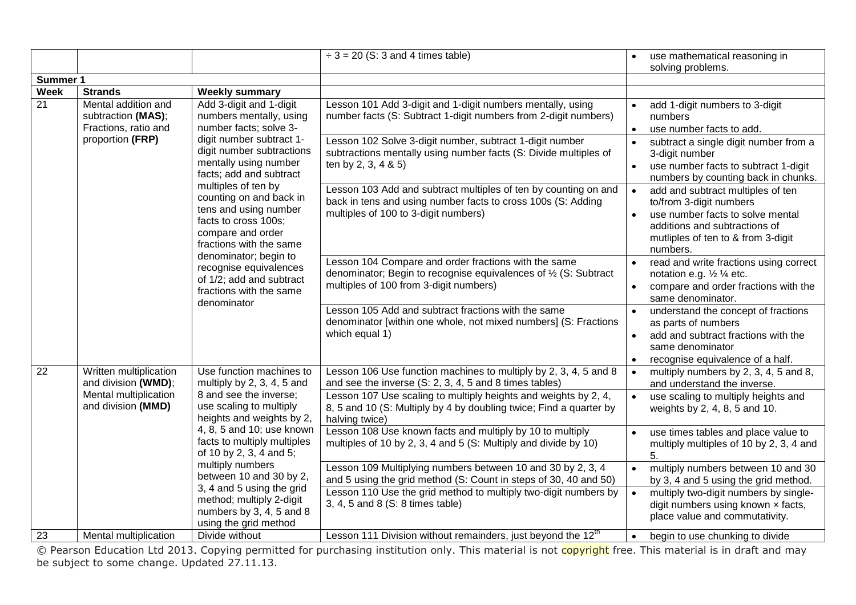|                                |                                                                                                         |                                                                                                                                                                                                                                                                                                                                    | $\div$ 3 = 20 (S: 3 and 4 times table)                                                                                                                                                    | use mathematical reasoning in                                                                                                                                                                                 |
|--------------------------------|---------------------------------------------------------------------------------------------------------|------------------------------------------------------------------------------------------------------------------------------------------------------------------------------------------------------------------------------------------------------------------------------------------------------------------------------------|-------------------------------------------------------------------------------------------------------------------------------------------------------------------------------------------|---------------------------------------------------------------------------------------------------------------------------------------------------------------------------------------------------------------|
|                                |                                                                                                         |                                                                                                                                                                                                                                                                                                                                    |                                                                                                                                                                                           | solving problems.                                                                                                                                                                                             |
| Summer 1                       |                                                                                                         |                                                                                                                                                                                                                                                                                                                                    |                                                                                                                                                                                           |                                                                                                                                                                                                               |
| <b>Week</b><br>$\overline{21}$ | <b>Strands</b><br>Mental addition and<br>subtraction (MAS);<br>Fractions, ratio and<br>proportion (FRP) | <b>Weekly summary</b><br>Add 3-digit and 1-digit<br>numbers mentally, using<br>number facts; solve 3-<br>digit number subtract 1-                                                                                                                                                                                                  | Lesson 101 Add 3-digit and 1-digit numbers mentally, using<br>number facts (S: Subtract 1-digit numbers from 2-digit numbers)<br>Lesson 102 Solve 3-digit number, subtract 1-digit number | add 1-digit numbers to 3-digit<br>numbers<br>use number facts to add.<br>$\bullet$<br>subtract a single digit number from a<br>$\bullet$                                                                      |
|                                |                                                                                                         | digit number subtractions<br>mentally using number<br>facts; add and subtract<br>multiples of ten by                                                                                                                                                                                                                               | subtractions mentally using number facts (S: Divide multiples of<br>ten by 2, 3, 4 & 5)                                                                                                   | 3-digit number<br>use number facts to subtract 1-digit<br>$\bullet$<br>numbers by counting back in chunks.                                                                                                    |
|                                |                                                                                                         | counting on and back in<br>tens and using number<br>facts to cross 100s;<br>compare and order<br>fractions with the same<br>denominator; begin to<br>recognise equivalences<br>of 1/2; add and subtract<br>fractions with the same<br>denominator                                                                                  | Lesson 103 Add and subtract multiples of ten by counting on and<br>back in tens and using number facts to cross 100s (S: Adding<br>multiples of 100 to 3-digit numbers)                   | add and subtract multiples of ten<br>$\bullet$<br>to/from 3-digit numbers<br>use number facts to solve mental<br>$\bullet$<br>additions and subtractions of<br>mutliples of ten to & from 3-digit<br>numbers. |
|                                |                                                                                                         |                                                                                                                                                                                                                                                                                                                                    | Lesson 104 Compare and order fractions with the same<br>denominator; Begin to recognise equivalences of 1/2 (S: Subtract<br>multiples of 100 from 3-digit numbers)                        | read and write fractions using correct<br>$\bullet$<br>notation e.g. 1/2 1/4 etc.<br>compare and order fractions with the<br>same denominator.                                                                |
|                                |                                                                                                         |                                                                                                                                                                                                                                                                                                                                    | Lesson 105 Add and subtract fractions with the same<br>denominator [within one whole, not mixed numbers] (S: Fractions<br>which equal 1)                                                  | understand the concept of fractions<br>as parts of numbers<br>add and subtract fractions with the<br>$\bullet$<br>same denominator<br>recognise equivalence of a half.<br>$\bullet$                           |
| $\overline{22}$                | Written multiplication<br>and division (WMD);                                                           | Use function machines to<br>multiply by 2, 3, 4, 5 and                                                                                                                                                                                                                                                                             | Lesson 106 Use function machines to multiply by 2, 3, 4, 5 and 8<br>and see the inverse (S: 2, 3, 4, 5 and 8 times tables)                                                                | multiply numbers by 2, 3, 4, 5 and 8,<br>$\bullet$<br>and understand the inverse.                                                                                                                             |
|                                | Mental multiplication<br>and division (MMD)                                                             | 8 and see the inverse;<br>use scaling to multiply<br>heights and weights by 2,<br>4, 8, 5 and 10; use known<br>facts to multiply multiples<br>of 10 by 2, 3, 4 and 5;<br>multiply numbers<br>between 10 and 30 by 2,<br>3, 4 and 5 using the grid<br>method; multiply 2-digit<br>numbers by 3, 4, 5 and 8<br>using the grid method | Lesson 107 Use scaling to multiply heights and weights by 2, 4,<br>8, 5 and 10 (S: Multiply by 4 by doubling twice; Find a quarter by<br>halving twice)                                   | use scaling to multiply heights and<br>$\bullet$<br>weights by 2, 4, 8, 5 and 10.                                                                                                                             |
|                                |                                                                                                         |                                                                                                                                                                                                                                                                                                                                    | Lesson 108 Use known facts and multiply by 10 to multiply<br>multiples of 10 by 2, 3, 4 and 5 (S: Multiply and divide by 10)                                                              | use times tables and place value to<br>multiply multiples of 10 by 2, 3, 4 and<br>5.                                                                                                                          |
|                                |                                                                                                         |                                                                                                                                                                                                                                                                                                                                    | Lesson 109 Multiplying numbers between 10 and 30 by 2, 3, 4<br>and 5 using the grid method (S: Count in steps of 30, 40 and 50)                                                           | multiply numbers between 10 and 30<br>$\bullet$<br>by 3, 4 and 5 using the grid method.                                                                                                                       |
|                                |                                                                                                         |                                                                                                                                                                                                                                                                                                                                    | Lesson 110 Use the grid method to multiply two-digit numbers by<br>3, 4, 5 and 8 (S: 8 times table)                                                                                       | multiply two-digit numbers by single-<br>$\bullet$<br>digit numbers using known x facts,<br>place value and commutativity.                                                                                    |
| 23                             | Mental multiplication                                                                                   | Divide without                                                                                                                                                                                                                                                                                                                     | Lesson 111 Division without remainders, just beyond the 12 <sup>th</sup>                                                                                                                  | begin to use chunking to divide<br>$\bullet$                                                                                                                                                                  |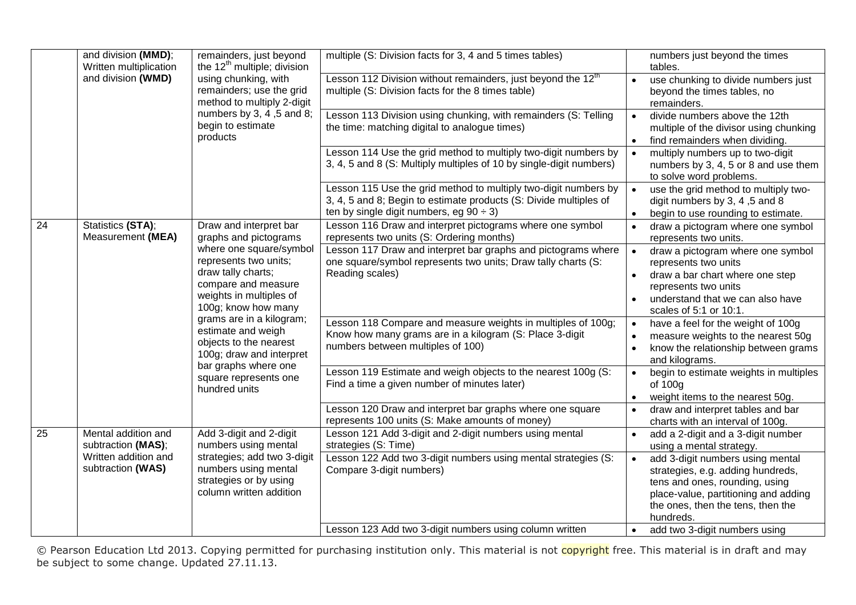|    | and division (MMD);<br>Written multiplication | remainders, just beyond<br>the 12 <sup>th</sup> multiple; division                                                                                                                                                                                      | multiple (S: Division facts for 3, 4 and 5 times tables)                                                                                                                              | numbers just beyond the times<br>tables.                                                                                                                                                                     |
|----|-----------------------------------------------|---------------------------------------------------------------------------------------------------------------------------------------------------------------------------------------------------------------------------------------------------------|---------------------------------------------------------------------------------------------------------------------------------------------------------------------------------------|--------------------------------------------------------------------------------------------------------------------------------------------------------------------------------------------------------------|
|    | and division (WMD)<br>products                | using chunking, with<br>remainders; use the grid<br>method to multiply 2-digit                                                                                                                                                                          | Lesson 112 Division without remainders, just beyond the 12 <sup>th</sup><br>multiple (S: Division facts for the 8 times table)                                                        | use chunking to divide numbers just<br>beyond the times tables, no<br>remainders.                                                                                                                            |
|    |                                               | numbers by 3, 4, 5 and 8;<br>begin to estimate                                                                                                                                                                                                          | Lesson 113 Division using chunking, with remainders (S: Telling<br>the time: matching digital to analogue times)                                                                      | divide numbers above the 12th<br>$\bullet$<br>multiple of the divisor using chunking<br>find remainders when dividing.<br>$\bullet$                                                                          |
|    |                                               |                                                                                                                                                                                                                                                         | Lesson 114 Use the grid method to multiply two-digit numbers by<br>3, 4, 5 and 8 (S: Multiply multiples of 10 by single-digit numbers)                                                | multiply numbers up to two-digit<br>$\bullet$<br>numbers by 3, 4, 5 or 8 and use them<br>to solve word problems.                                                                                             |
|    |                                               |                                                                                                                                                                                                                                                         | Lesson 115 Use the grid method to multiply two-digit numbers by<br>3, 4, 5 and 8; Begin to estimate products (S: Divide multiples of<br>ten by single digit numbers, eg $90 \div 3$ ) | use the grid method to multiply two-<br>$\bullet$<br>digit numbers by 3, 4, 5 and 8<br>begin to use rounding to estimate.<br>$\bullet$                                                                       |
| 24 | Statistics (STA);<br>Measurement (MEA)        | Draw and interpret bar<br>graphs and pictograms                                                                                                                                                                                                         | Lesson 116 Draw and interpret pictograms where one symbol<br>represents two units (S: Ordering months)                                                                                | draw a pictogram where one symbol<br>represents two units.                                                                                                                                                   |
|    |                                               | where one square/symbol<br>represents two units;<br>draw tally charts;<br>compare and measure<br>weights in multiples of<br>100g; know how many<br>grams are in a kilogram;<br>estimate and weigh<br>objects to the nearest<br>100g; draw and interpret | Lesson 117 Draw and interpret bar graphs and pictograms where<br>one square/symbol represents two units; Draw tally charts (S:<br>Reading scales)                                     | draw a pictogram where one symbol<br>$\bullet$<br>represents two units<br>draw a bar chart where one step<br>$\bullet$<br>represents two units<br>understand that we can also have<br>scales of 5:1 or 10:1. |
|    |                                               |                                                                                                                                                                                                                                                         | Lesson 118 Compare and measure weights in multiples of 100g;<br>Know how many grams are in a kilogram (S: Place 3-digit<br>numbers between multiples of 100)                          | have a feel for the weight of 100g<br>$\bullet$<br>measure weights to the nearest 50g<br>$\bullet$<br>know the relationship between grams<br>$\bullet$<br>and kilograms.                                     |
|    |                                               | bar graphs where one<br>square represents one<br>hundred units                                                                                                                                                                                          | Lesson 119 Estimate and weigh objects to the nearest 100g (S:<br>Find a time a given number of minutes later)                                                                         | begin to estimate weights in multiples<br>$\bullet$<br>of 100g<br>weight items to the nearest 50g.<br>$\bullet$                                                                                              |
|    |                                               |                                                                                                                                                                                                                                                         | Lesson 120 Draw and interpret bar graphs where one square<br>represents 100 units (S: Make amounts of money)                                                                          | draw and interpret tables and bar<br>$\bullet$<br>charts with an interval of 100g.                                                                                                                           |
| 25 | Mental addition and<br>subtraction (MAS);     | Add 3-digit and 2-digit<br>numbers using mental                                                                                                                                                                                                         | Lesson 121 Add 3-digit and 2-digit numbers using mental<br>strategies (S: Time)                                                                                                       | add a 2-digit and a 3-digit number<br>$\bullet$<br>using a mental strategy.                                                                                                                                  |
|    | Written addition and<br>subtraction (WAS)     | strategies; add two 3-digit<br>numbers using mental<br>strategies or by using<br>column written addition                                                                                                                                                | Lesson 122 Add two 3-digit numbers using mental strategies (S:<br>Compare 3-digit numbers)                                                                                            | add 3-digit numbers using mental<br>strategies, e.g. adding hundreds,<br>tens and ones, rounding, using<br>place-value, partitioning and adding<br>the ones, then the tens, then the<br>hundreds.            |
|    |                                               |                                                                                                                                                                                                                                                         | Lesson 123 Add two 3-digit numbers using column written                                                                                                                               | add two 3-digit numbers using                                                                                                                                                                                |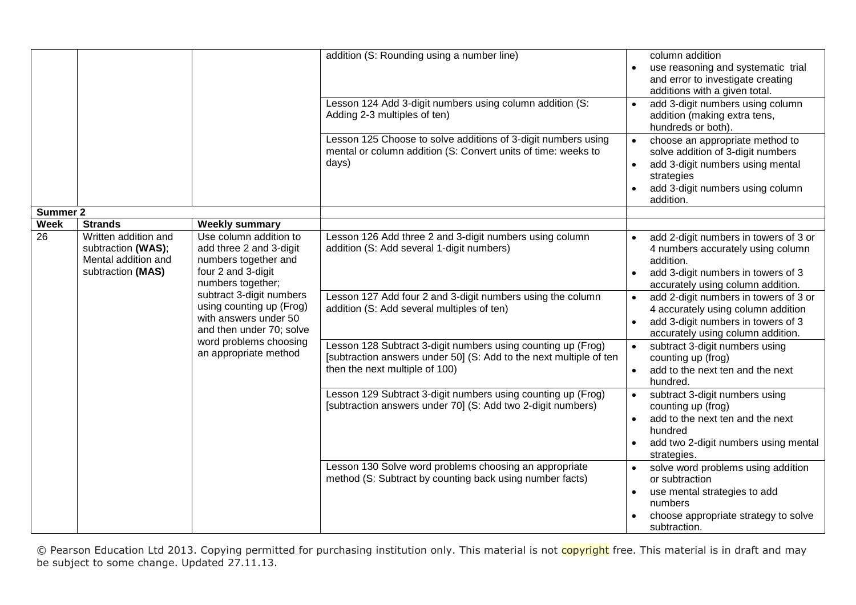| <b>Summer 2</b> |                                                                                        |                                                                                                                                                                                                                                                                                      | addition (S: Rounding using a number line)<br>Lesson 124 Add 3-digit numbers using column addition (S:<br>Adding 2-3 multiples of ten)<br>Lesson 125 Choose to solve additions of 3-digit numbers using<br>mental or column addition (S: Convert units of time: weeks to<br>days)                                                                                                        | column addition<br>use reasoning and systematic trial<br>and error to investigate creating<br>additions with a given total.<br>add 3-digit numbers using column<br>addition (making extra tens,<br>hundreds or both).<br>choose an appropriate method to<br>solve addition of 3-digit numbers<br>add 3-digit numbers using mental<br>$\bullet$<br>strategies<br>add 3-digit numbers using column<br>addition.                                                               |
|-----------------|----------------------------------------------------------------------------------------|--------------------------------------------------------------------------------------------------------------------------------------------------------------------------------------------------------------------------------------------------------------------------------------|------------------------------------------------------------------------------------------------------------------------------------------------------------------------------------------------------------------------------------------------------------------------------------------------------------------------------------------------------------------------------------------|-----------------------------------------------------------------------------------------------------------------------------------------------------------------------------------------------------------------------------------------------------------------------------------------------------------------------------------------------------------------------------------------------------------------------------------------------------------------------------|
| <b>Week</b>     | <b>Strands</b>                                                                         | <b>Weekly summary</b>                                                                                                                                                                                                                                                                |                                                                                                                                                                                                                                                                                                                                                                                          |                                                                                                                                                                                                                                                                                                                                                                                                                                                                             |
| 26              | Written addition and<br>subtraction (WAS);<br>Mental addition and<br>subtraction (MAS) | Use column addition to<br>add three 2 and 3-digit<br>numbers together and<br>four 2 and 3-digit<br>numbers together;<br>subtract 3-digit numbers<br>using counting up (Frog)<br>with answers under 50<br>and then under 70; solve<br>word problems choosing<br>an appropriate method | Lesson 126 Add three 2 and 3-digit numbers using column<br>addition (S: Add several 1-digit numbers)<br>Lesson 127 Add four 2 and 3-digit numbers using the column<br>addition (S: Add several multiples of ten)<br>Lesson 128 Subtract 3-digit numbers using counting up (Frog)<br>[subtraction answers under 50] (S: Add to the next multiple of ten<br>then the next multiple of 100) | add 2-digit numbers in towers of 3 or<br>4 numbers accurately using column<br>addition.<br>add 3-digit numbers in towers of 3<br>accurately using column addition.<br>add 2-digit numbers in towers of 3 or<br>$\bullet$<br>4 accurately using column addition<br>add 3-digit numbers in towers of 3<br>accurately using column addition.<br>subtract 3-digit numbers using<br>$\bullet$<br>counting up (frog)<br>add to the next ten and the next<br>$\bullet$<br>hundred. |
|                 |                                                                                        |                                                                                                                                                                                                                                                                                      | Lesson 129 Subtract 3-digit numbers using counting up (Frog)<br>[subtraction answers under 70] (S: Add two 2-digit numbers)<br>Lesson 130 Solve word problems choosing an appropriate<br>method (S: Subtract by counting back using number facts)                                                                                                                                        | subtract 3-digit numbers using<br>$\bullet$<br>counting up (frog)<br>add to the next ten and the next<br>$\bullet$<br>hundred<br>add two 2-digit numbers using mental<br>strategies.<br>solve word problems using addition<br>or subtraction<br>use mental strategies to add<br>numbers<br>choose appropriate strategy to solve<br>subtraction.                                                                                                                             |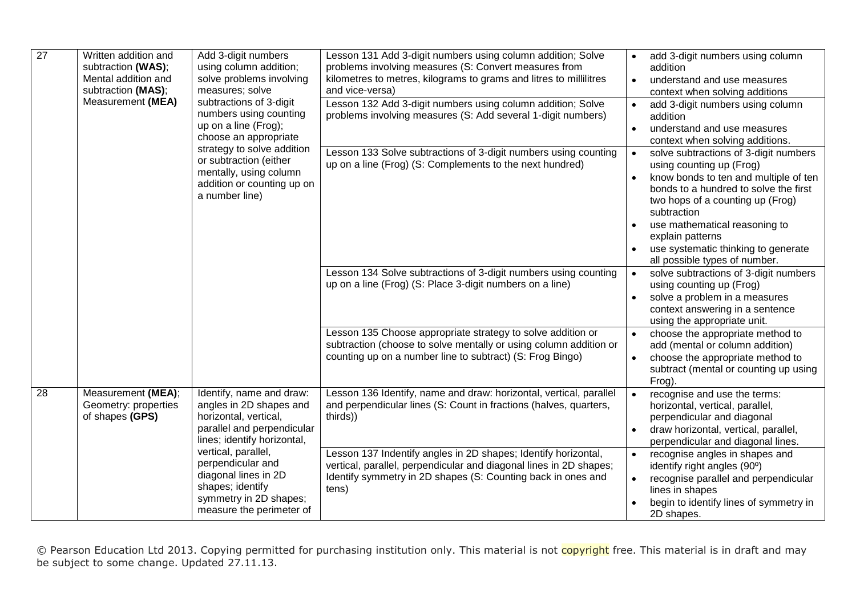| $\overline{27}$ | Written addition and<br>subtraction (WAS);<br>Mental addition and<br>subtraction (MAS);<br>Measurement (MEA) | Add 3-digit numbers<br>using column addition;<br>solve problems involving<br>measures; solve<br>subtractions of 3-digit<br>numbers using counting<br>up on a line (Frog);<br>choose an appropriate<br>strategy to solve addition<br>or subtraction (either<br>mentally, using column<br>addition or counting up on<br>a number line) | Lesson 131 Add 3-digit numbers using column addition; Solve<br>problems involving measures (S: Convert measures from<br>kilometres to metres, kilograms to grams and litres to millilitres<br>and vice-versa)<br>Lesson 132 Add 3-digit numbers using column addition; Solve<br>problems involving measures (S: Add several 1-digit numbers)<br>Lesson 133 Solve subtractions of 3-digit numbers using counting<br>up on a line (Frog) (S: Complements to the next hundred)<br>Lesson 134 Solve subtractions of 3-digit numbers using counting<br>up on a line (Frog) (S: Place 3-digit numbers on a line) | add 3-digit numbers using column<br>addition<br>understand and use measures<br>$\bullet$<br>context when solving additions<br>add 3-digit numbers using column<br>addition<br>understand and use measures<br>context when solving additions.<br>solve subtractions of 3-digit numbers<br>$\bullet$<br>using counting up (Frog)<br>know bonds to ten and multiple of ten<br>$\bullet$<br>bonds to a hundred to solve the first<br>two hops of a counting up (Frog)<br>subtraction<br>use mathematical reasoning to<br>explain patterns<br>use systematic thinking to generate<br>all possible types of number.<br>solve subtractions of 3-digit numbers<br>$\bullet$<br>using counting up (Frog)<br>solve a problem in a measures<br>$\bullet$<br>context answering in a sentence |
|-----------------|--------------------------------------------------------------------------------------------------------------|--------------------------------------------------------------------------------------------------------------------------------------------------------------------------------------------------------------------------------------------------------------------------------------------------------------------------------------|------------------------------------------------------------------------------------------------------------------------------------------------------------------------------------------------------------------------------------------------------------------------------------------------------------------------------------------------------------------------------------------------------------------------------------------------------------------------------------------------------------------------------------------------------------------------------------------------------------|----------------------------------------------------------------------------------------------------------------------------------------------------------------------------------------------------------------------------------------------------------------------------------------------------------------------------------------------------------------------------------------------------------------------------------------------------------------------------------------------------------------------------------------------------------------------------------------------------------------------------------------------------------------------------------------------------------------------------------------------------------------------------------|
|                 |                                                                                                              |                                                                                                                                                                                                                                                                                                                                      | Lesson 135 Choose appropriate strategy to solve addition or<br>subtraction (choose to solve mentally or using column addition or<br>counting up on a number line to subtract) (S: Frog Bingo)                                                                                                                                                                                                                                                                                                                                                                                                              | using the appropriate unit.<br>choose the appropriate method to<br>add (mental or column addition)<br>choose the appropriate method to<br>subtract (mental or counting up using<br>Frog).                                                                                                                                                                                                                                                                                                                                                                                                                                                                                                                                                                                        |
| 28              | Measurement (MEA);<br>Geometry: properties<br>of shapes (GPS)                                                | Identify, name and draw:<br>angles in 2D shapes and<br>horizontal, vertical,<br>parallel and perpendicular<br>lines; identify horizontal,<br>vertical, parallel,<br>perpendicular and<br>diagonal lines in 2D<br>shapes; identify<br>symmetry in 2D shapes;<br>measure the perimeter of                                              | Lesson 136 Identify, name and draw: horizontal, vertical, parallel<br>and perpendicular lines (S: Count in fractions (halves, quarters,<br>thirds))<br>Lesson 137 Indentify angles in 2D shapes; Identify horizontal,<br>vertical, parallel, perpendicular and diagonal lines in 2D shapes;<br>Identify symmetry in 2D shapes (S: Counting back in ones and<br>tens)                                                                                                                                                                                                                                       | recognise and use the terms:<br>$\bullet$<br>horizontal, vertical, parallel,<br>perpendicular and diagonal<br>draw horizontal, vertical, parallel,<br>$\bullet$<br>perpendicular and diagonal lines.<br>recognise angles in shapes and<br>$\bullet$<br>identify right angles (90°)<br>recognise parallel and perpendicular<br>lines in shapes<br>begin to identify lines of symmetry in<br>2D shapes.                                                                                                                                                                                                                                                                                                                                                                            |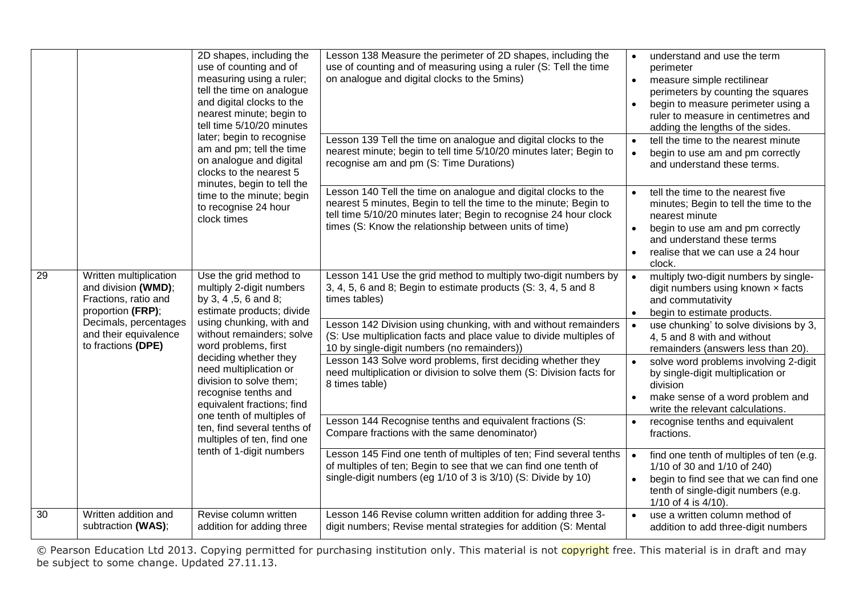|    | 2D shapes, including the<br>use of counting and of<br>measuring using a ruler;<br>tell the time on analogue<br>and digital clocks to the<br>nearest minute; begin to<br>tell time 5/10/20 minutes<br>later; begin to recognise<br>am and pm; tell the time<br>on analogue and digital<br>clocks to the nearest 5<br>minutes, begin to tell the<br>time to the minute; begin<br>to recognise 24 hour<br>clock times |                                                                                                                                                                                                                                                                                                                                                                                          | Lesson 138 Measure the perimeter of 2D shapes, including the<br>use of counting and of measuring using a ruler (S: Tell the time<br>on analogue and digital clocks to the 5mins)<br>Lesson 139 Tell the time on analogue and digital clocks to the<br>nearest minute; begin to tell time 5/10/20 minutes later; Begin to<br>recognise am and pm (S: Time Durations)                                                                                                                                                                                                                                              | understand and use the term<br>$\bullet$<br>perimeter<br>measure simple rectilinear<br>$\bullet$<br>perimeters by counting the squares<br>begin to measure perimeter using a<br>$\bullet$<br>ruler to measure in centimetres and<br>adding the lengths of the sides.<br>tell the time to the nearest minute<br>$\bullet$<br>begin to use am and pm correctly<br>$\bullet$<br>and understand these terms.                                                                                                |
|----|--------------------------------------------------------------------------------------------------------------------------------------------------------------------------------------------------------------------------------------------------------------------------------------------------------------------------------------------------------------------------------------------------------------------|------------------------------------------------------------------------------------------------------------------------------------------------------------------------------------------------------------------------------------------------------------------------------------------------------------------------------------------------------------------------------------------|------------------------------------------------------------------------------------------------------------------------------------------------------------------------------------------------------------------------------------------------------------------------------------------------------------------------------------------------------------------------------------------------------------------------------------------------------------------------------------------------------------------------------------------------------------------------------------------------------------------|---------------------------------------------------------------------------------------------------------------------------------------------------------------------------------------------------------------------------------------------------------------------------------------------------------------------------------------------------------------------------------------------------------------------------------------------------------------------------------------------------------|
|    |                                                                                                                                                                                                                                                                                                                                                                                                                    | Lesson 140 Tell the time on analogue and digital clocks to the<br>nearest 5 minutes, Begin to tell the time to the minute; Begin to<br>tell time 5/10/20 minutes later; Begin to recognise 24 hour clock<br>times (S: Know the relationship between units of time)                                                                                                                       | tell the time to the nearest five<br>minutes; Begin to tell the time to the<br>nearest minute<br>begin to use am and pm correctly<br>$\bullet$<br>and understand these terms<br>realise that we can use a 24 hour<br>$\bullet$<br>clock.                                                                                                                                                                                                                                                                                                                                                                         |                                                                                                                                                                                                                                                                                                                                                                                                                                                                                                         |
| 29 | Written multiplication<br>and division (WMD);<br>Fractions, ratio and<br>proportion (FRP);<br>Decimals, percentages<br>and their equivalence<br>to fractions (DPE)                                                                                                                                                                                                                                                 | Use the grid method to<br>multiply 2-digit numbers<br>by 3, 4, 5, 6 and 8;<br>estimate products; divide<br>using chunking, with and<br>without remainders; solve<br>word problems, first<br>deciding whether they<br>need multiplication or<br>division to solve them;<br>recognise tenths and<br>equivalent fractions; find<br>one tenth of multiples of<br>ten, find several tenths of | Lesson 141 Use the grid method to multiply two-digit numbers by<br>3, 4, 5, 6 and 8; Begin to estimate products (S: 3, 4, 5 and 8<br>times tables)<br>Lesson 142 Division using chunking, with and without remainders<br>(S: Use multiplication facts and place value to divide multiples of<br>10 by single-digit numbers (no remainders))<br>Lesson 143 Solve word problems, first deciding whether they<br>need multiplication or division to solve them (S: Division facts for<br>8 times table)<br>Lesson 144 Recognise tenths and equivalent fractions (S:<br>Compare fractions with the same denominator) | multiply two-digit numbers by single-<br>$\bullet$<br>digit numbers using known x facts<br>and commutativity<br>begin to estimate products.<br>$\bullet$<br>use chunking' to solve divisions by 3,<br>$\bullet$<br>4, 5 and 8 with and without<br>remainders (answers less than 20).<br>solve word problems involving 2-digit<br>by single-digit multiplication or<br>division<br>make sense of a word problem and<br>write the relevant calculations.<br>recognise tenths and equivalent<br>fractions. |
|    |                                                                                                                                                                                                                                                                                                                                                                                                                    | multiples of ten, find one<br>tenth of 1-digit numbers                                                                                                                                                                                                                                                                                                                                   | Lesson 145 Find one tenth of multiples of ten; Find several tenths<br>of multiples of ten; Begin to see that we can find one tenth of<br>single-digit numbers (eg 1/10 of 3 is 3/10) (S: Divide by 10)                                                                                                                                                                                                                                                                                                                                                                                                           | find one tenth of multiples of ten (e.g.<br>1/10 of 30 and 1/10 of 240)<br>begin to find see that we can find one<br>$\bullet$<br>tenth of single-digit numbers (e.g.<br>1/10 of 4 is $4/10$ ).                                                                                                                                                                                                                                                                                                         |
| 30 | Written addition and<br>subtraction (WAS);                                                                                                                                                                                                                                                                                                                                                                         | Revise column written<br>addition for adding three                                                                                                                                                                                                                                                                                                                                       | Lesson 146 Revise column written addition for adding three 3-<br>digit numbers; Revise mental strategies for addition (S: Mental                                                                                                                                                                                                                                                                                                                                                                                                                                                                                 | use a written column method of<br>addition to add three-digit numbers                                                                                                                                                                                                                                                                                                                                                                                                                                   |